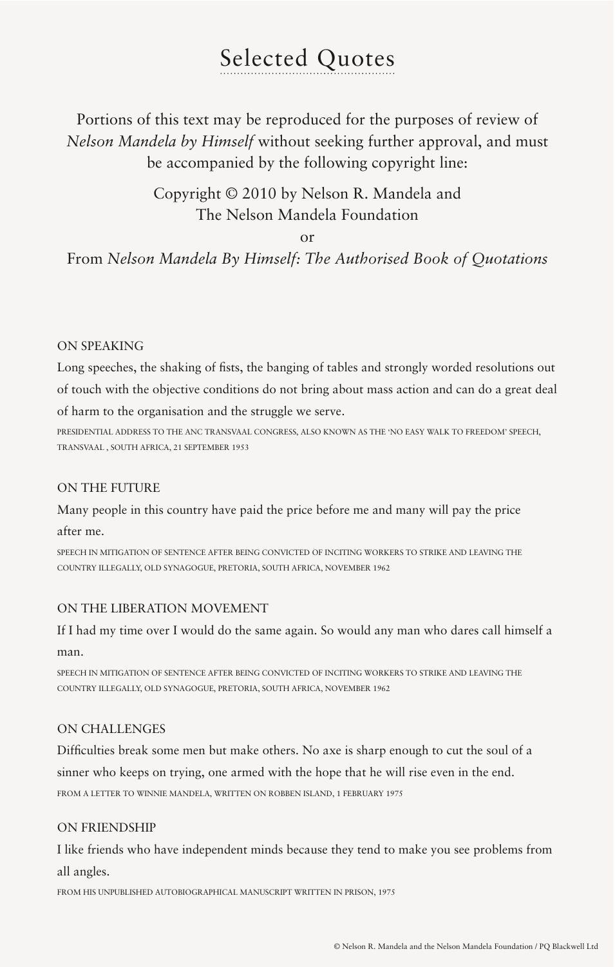# Selected Quotes

Portions of this text may be reproduced for the purposes of review of *Nelson Mandela by Himself* without seeking further approval, and must be accompanied by the following copyright line:

# Copyright © 2010 by Nelson R. Mandela and The Nelson Mandela Foundation

or

# From *Nelson Mandela By Himself: The Authorised Book of Quotations*

# ON SPEAKING

Long speeches, the shaking of fists, the banging of tables and strongly worded resolutions out of touch with the objective conditions do not bring about mass action and can do a great deal of harm to the organisation and the struggle we serve.

PRESIDENTIAL ADDRESS TO THE ANC TRANSVAAL CONGRESS, ALSO KNOWN AS THE 'NO EASY WALK TO FREEDOM' SPEECH, TRANSVAAL , SOUTH AFRICA, 21 SEPTEMBER 1953

# ON THE FUTURE

Many people in this country have paid the price before me and many will pay the price

after me.

SPEECH IN MITIGATION OF SENTENCE AFTER BEING CONVICTED OF INCITING WORKERS TO STRIKE AND LEAVING THE COUNTRY ILLEGALLY, OLD SYNAGOGUE, PRETORIA, SOUTH AFRICA, NOVEMBER 1962

# ON THE LIBERATION MOVEMENT

If I had my time over I would do the same again. So would any man who dares call himself a man.

SPEECH IN MITIGATION OF SENTENCE AFTER BEING CONVICTED OF INCITING WORKERS TO STRIKE AND LEAVING THE COUNTRY ILLEGALLY, OLD SYNAGOGUE, PRETORIA, SOUTH AFRICA, NOVEMBER 1962

# ON CHALLENGES

Difficulties break some men but make others. No axe is sharp enough to cut the soul of a sinner who keeps on trying, one armed with the hope that he will rise even in the end. FROM A LETTER TO WINNIE MANDELA, WRITTEN ON ROBBEN ISLAND, 1 FEBRUARY 1975

# ON FRIENDSHIP

I like friends who have independent minds because they tend to make you see problems from all angles.

FROM HIS UNPUBLISHED AUTOBIOGRAPHICAL MANUSCRIPT WRITTEN IN PRISON, 1975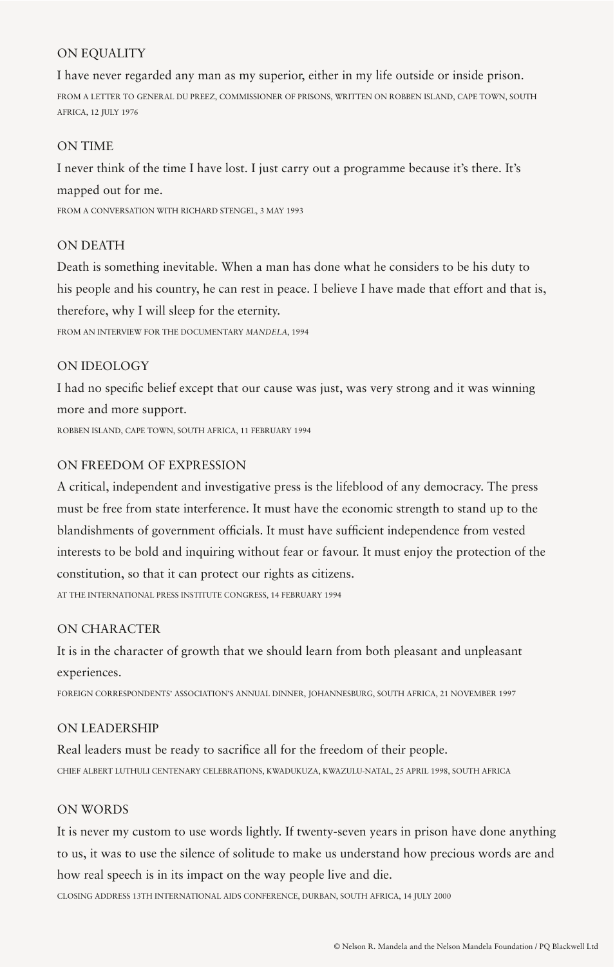# ON EQUALITY

I have never regarded any man as my superior, either in my life outside or inside prison. FROM A LETTER TO GENERAL DU PREEZ, COMMISSIONER OF PRISONS, WRITTEN ON ROBBEN ISLAND, CAPE TOWN, SOUTH AFRICA, 12 JULY 1976

#### ON TIME

I never think of the time I have lost. I just carry out a programme because it's there. It's mapped out for me. FROM A CONVERSATION WITH RICHARD STENGEL, 3 MAY 1993

# ON DEATH

Death is something inevitable. When a man has done what he considers to be his duty to his people and his country, he can rest in peace. I believe I have made that effort and that is, therefore, why I will sleep for the eternity. FROM AN INTERVIEW FOR THE DOCUMENTARY *MANDELA*, 1994

#### ON IDEOLOGY

I had no specific belief except that our cause was just, was very strong and it was winning more and more support. ROBBEN ISLAND, CAPE TOWN, SOUTH AFRICA, 11 FEBRUARY 1994

#### ON FREEDOM OF EXPRESSION

A critical, independent and investigative press is the lifeblood of any democracy. The press must be free from state interference. It must have the economic strength to stand up to the blandishments of government officials. It must have sufficient independence from vested interests to be bold and inquiring without fear or favour. It must enjoy the protection of the constitution, so that it can protect our rights as citizens.

AT THE INTERNATIONAL PRESS INSTITUTE CONGRESS, 14 FEBRUARY 1994

# ON CHARACTER

It is in the character of growth that we should learn from both pleasant and unpleasant experiences.

FOREIGN CORRESPONDENTS' ASSOCIATION'S ANNUAL DINNER, JOHANNESBURG, SOUTH AFRICA, 21 NOVEMBER 1997

# ON LEADERSHIP

Real leaders must be ready to sacrifice all for the freedom of their people. CHIEF ALBERT LUTHULI CENTENARY CELEBRATIONS, KWADUKUZA, KWAZULU-NATAL, 25 APRIL 1998, SOUTH AFRICA

#### ON WORDS

It is never my custom to use words lightly. If twenty-seven years in prison have done anything to us, it was to use the silence of solitude to make us understand how precious words are and how real speech is in its impact on the way people live and die.

CLOSING ADDRESS 13TH INTERNATIONAL AIDS CONFERENCE, DURBAN, SOUTH AFRICA, 14 JULY 2000